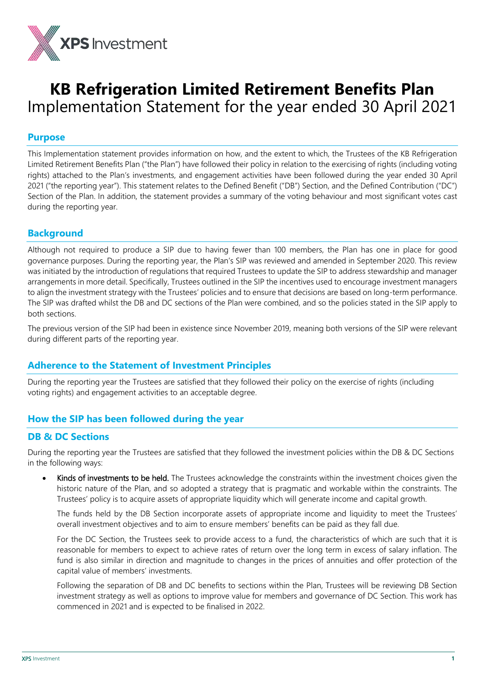

# **KB Refrigeration Limited Retirement Benefits Plan**  Implementation Statement for the year ended 30 April 2021

## **Purpose**

This Implementation statement provides information on how, and the extent to which, the Trustees of the KB Refrigeration Limited Retirement Benefits Plan ("the Plan") have followed their policy in relation to the exercising of rights (including voting rights) attached to the Plan's investments, and engagement activities have been followed during the year ended 30 April 2021 ("the reporting year"). This statement relates to the Defined Benefit ("DB") Section, and the Defined Contribution ("DC") Section of the Plan. In addition, the statement provides a summary of the voting behaviour and most significant votes cast during the reporting year.

# **Background**

Although not required to produce a SIP due to having fewer than 100 members, the Plan has one in place for good governance purposes. During the reporting year, the Plan's SIP was reviewed and amended in September 2020. This review was initiated by the introduction of regulations that required Trustees to update the SIP to address stewardship and manager arrangements in more detail. Specifically, Trustees outlined in the SIP the incentives used to encourage investment managers to align the investment strategy with the Trustees' policies and to ensure that decisions are based on long-term performance. The SIP was drafted whilst the DB and DC sections of the Plan were combined, and so the policies stated in the SIP apply to both sections.

The previous version of the SIP had been in existence since November 2019, meaning both versions of the SIP were relevant during different parts of the reporting year.

# **Adherence to the Statement of Investment Principles**

During the reporting year the Trustees are satisfied that they followed their policy on the exercise of rights (including voting rights) and engagement activities to an acceptable degree.

# **How the SIP has been followed during the year**

# **DB & DC Sections**

During the reporting year the Trustees are satisfied that they followed the investment policies within the DB & DC Sections in the following ways:

Kinds of investments to be held. The Trustees acknowledge the constraints within the investment choices given the historic nature of the Plan, and so adopted a strategy that is pragmatic and workable within the constraints. The Trustees' policy is to acquire assets of appropriate liquidity which will generate income and capital growth.

The funds held by the DB Section incorporate assets of appropriate income and liquidity to meet the Trustees' overall investment objectives and to aim to ensure members' benefits can be paid as they fall due.

For the DC Section, the Trustees seek to provide access to a fund, the characteristics of which are such that it is reasonable for members to expect to achieve rates of return over the long term in excess of salary inflation. The fund is also similar in direction and magnitude to changes in the prices of annuities and offer protection of the capital value of members' investments.

Following the separation of DB and DC benefits to sections within the Plan, Trustees will be reviewing DB Section investment strategy as well as options to improve value for members and governance of DC Section. This work has commenced in 2021 and is expected to be finalised in 2022.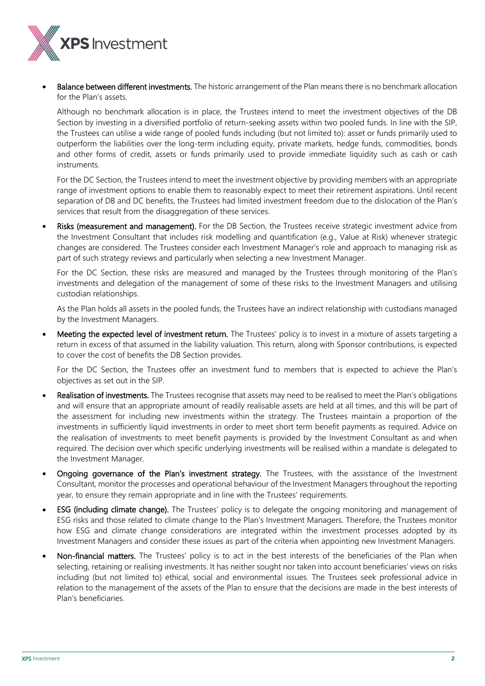

**Balance between different investments.** The historic arrangement of the Plan means there is no benchmark allocation for the Plan's assets.

Although no benchmark allocation is in place, the Trustees intend to meet the investment objectives of the DB Section by investing in a diversified portfolio of return-seeking assets within two pooled funds. In line with the SIP, the Trustees can utilise a wide range of pooled funds including (but not limited to): asset or funds primarily used to outperform the liabilities over the long-term including equity, private markets, hedge funds, commodities, bonds and other forms of credit, assets or funds primarily used to provide immediate liquidity such as cash or cash instruments.

For the DC Section, the Trustees intend to meet the investment objective by providing members with an appropriate range of investment options to enable them to reasonably expect to meet their retirement aspirations. Until recent separation of DB and DC benefits, the Trustees had limited investment freedom due to the dislocation of the Plan's services that result from the disaggregation of these services.

Risks (measurement and management). For the DB Section, the Trustees receive strategic investment advice from the Investment Consultant that includes risk modelling and quantification (e.g., Value at Risk) whenever strategic changes are considered. The Trustees consider each Investment Manager's role and approach to managing risk as part of such strategy reviews and particularly when selecting a new Investment Manager.

For the DC Section, these risks are measured and managed by the Trustees through monitoring of the Plan's investments and delegation of the management of some of these risks to the Investment Managers and utilising custodian relationships.

As the Plan holds all assets in the pooled funds, the Trustees have an indirect relationship with custodians managed by the Investment Managers.

Meeting the expected level of investment return. The Trustees' policy is to invest in a mixture of assets targeting a return in excess of that assumed in the liability valuation. This return, along with Sponsor contributions, is expected to cover the cost of benefits the DB Section provides.

For the DC Section, the Trustees offer an investment fund to members that is expected to achieve the Plan's objectives as set out in the SIP.

- Realisation of investments. The Trustees recognise that assets may need to be realised to meet the Plan's obligations and will ensure that an appropriate amount of readily realisable assets are held at all times, and this will be part of the assessment for including new investments within the strategy. The Trustees maintain a proportion of the investments in sufficiently liquid investments in order to meet short term benefit payments as required. Advice on the realisation of investments to meet benefit payments is provided by the Investment Consultant as and when required. The decision over which specific underlying investments will be realised within a mandate is delegated to the Investment Manager.
- Ongoing governance of the Plan's investment strategy. The Trustees, with the assistance of the Investment Consultant, monitor the processes and operational behaviour of the Investment Managers throughout the reporting year, to ensure they remain appropriate and in line with the Trustees' requirements.
- ESG (including climate change). The Trustees' policy is to delegate the ongoing monitoring and management of ESG risks and those related to climate change to the Plan's Investment Managers. Therefore, the Trustees monitor how ESG and climate change considerations are integrated within the investment processes adopted by its Investment Managers and consider these issues as part of the criteria when appointing new Investment Managers.
- Non-financial matters. The Trustees' policy is to act in the best interests of the beneficiaries of the Plan when selecting, retaining or realising investments. It has neither sought nor taken into account beneficiaries' views on risks including (but not limited to) ethical, social and environmental issues. The Trustees seek professional advice in relation to the management of the assets of the Plan to ensure that the decisions are made in the best interests of Plan's beneficiaries.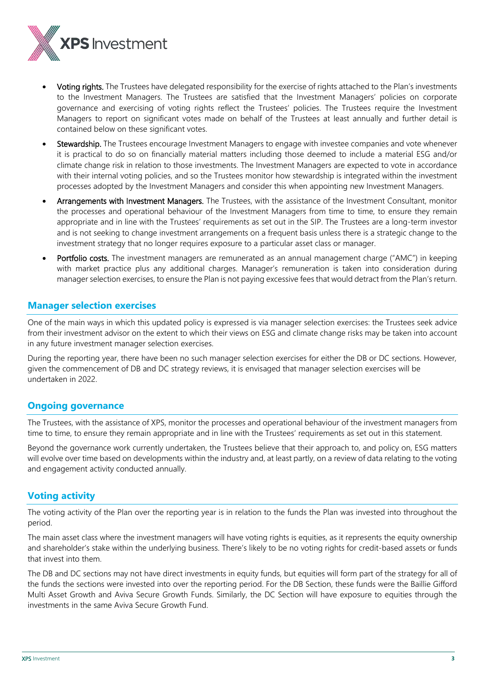

- Voting rights. The Trustees have delegated responsibility for the exercise of rights attached to the Plan's investments to the Investment Managers. The Trustees are satisfied that the Investment Managers' policies on corporate governance and exercising of voting rights reflect the Trustees' policies. The Trustees require the Investment Managers to report on significant votes made on behalf of the Trustees at least annually and further detail is contained below on these significant votes.
- Stewardship. The Trustees encourage Investment Managers to engage with investee companies and vote whenever it is practical to do so on financially material matters including those deemed to include a material ESG and/or climate change risk in relation to those investments. The Investment Managers are expected to vote in accordance with their internal voting policies, and so the Trustees monitor how stewardship is integrated within the investment processes adopted by the Investment Managers and consider this when appointing new Investment Managers.
- Arrangements with Investment Managers. The Trustees, with the assistance of the Investment Consultant, monitor the processes and operational behaviour of the Investment Managers from time to time, to ensure they remain appropriate and in line with the Trustees' requirements as set out in the SIP. The Trustees are a long-term investor and is not seeking to change investment arrangements on a frequent basis unless there is a strategic change to the investment strategy that no longer requires exposure to a particular asset class or manager.
- Portfolio costs. The investment managers are remunerated as an annual management charge ("AMC") in keeping with market practice plus any additional charges. Manager's remuneration is taken into consideration during manager selection exercises, to ensure the Plan is not paying excessive fees that would detract from the Plan's return.

## **Manager selection exercises**

One of the main ways in which this updated policy is expressed is via manager selection exercises: the Trustees seek advice from their investment advisor on the extent to which their views on ESG and climate change risks may be taken into account in any future investment manager selection exercises.

During the reporting year, there have been no such manager selection exercises for either the DB or DC sections. However, given the commencement of DB and DC strategy reviews, it is envisaged that manager selection exercises will be undertaken in 2022.

## **Ongoing governance**

The Trustees, with the assistance of XPS, monitor the processes and operational behaviour of the investment managers from time to time, to ensure they remain appropriate and in line with the Trustees' requirements as set out in this statement.

Beyond the governance work currently undertaken, the Trustees believe that their approach to, and policy on, ESG matters will evolve over time based on developments within the industry and, at least partly, on a review of data relating to the voting and engagement activity conducted annually.

# **Voting activity**

The voting activity of the Plan over the reporting year is in relation to the funds the Plan was invested into throughout the period.

The main asset class where the investment managers will have voting rights is equities, as it represents the equity ownership and shareholder's stake within the underlying business. There's likely to be no voting rights for credit-based assets or funds that invest into them.

The DB and DC sections may not have direct investments in equity funds, but equities will form part of the strategy for all of the funds the sections were invested into over the reporting period. For the DB Section, these funds were the Baillie Gifford Multi Asset Growth and Aviva Secure Growth Funds. Similarly, the DC Section will have exposure to equities through the investments in the same Aviva Secure Growth Fund.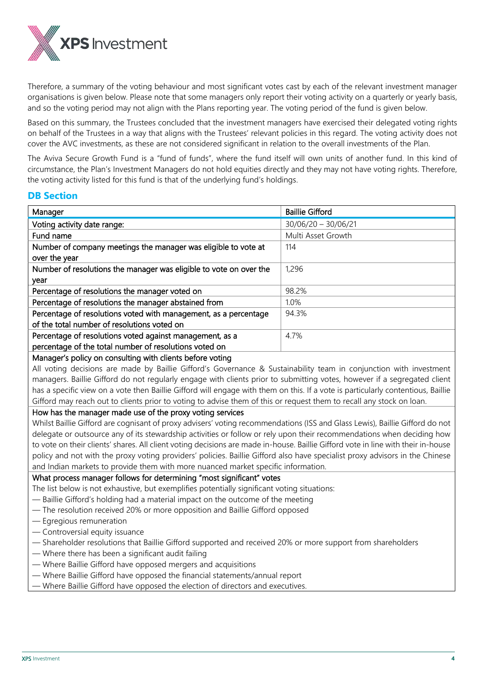

Therefore, a summary of the voting behaviour and most significant votes cast by each of the relevant investment manager organisations is given below. Please note that some managers only report their voting activity on a quarterly or yearly basis, and so the voting period may not align with the Plans reporting year. The voting period of the fund is given below.

Based on this summary, the Trustees concluded that the investment managers have exercised their delegated voting rights on behalf of the Trustees in a way that aligns with the Trustees' relevant policies in this regard. The voting activity does not cover the AVC investments, as these are not considered significant in relation to the overall investments of the Plan.

The Aviva Secure Growth Fund is a "fund of funds", where the fund itself will own units of another fund. In this kind of circumstance, the Plan's Investment Managers do not hold equities directly and they may not have voting rights. Therefore, the voting activity listed for this fund is that of the underlying fund's holdings.

## **DB Section**

| Manager                                                                                              | <b>Baillie Gifford</b> |
|------------------------------------------------------------------------------------------------------|------------------------|
| Voting activity date range:                                                                          | $30/06/20 - 30/06/21$  |
| Fund name                                                                                            | Multi Asset Growth     |
| Number of company meetings the manager was eligible to vote at                                       | 114                    |
| over the year                                                                                        |                        |
| Number of resolutions the manager was eligible to vote on over the                                   | 1,296                  |
| year                                                                                                 |                        |
| Percentage of resolutions the manager voted on                                                       | 98.2%                  |
| Percentage of resolutions the manager abstained from                                                 | 1.0%                   |
| Percentage of resolutions voted with management, as a percentage                                     | 94.3%                  |
| of the total number of resolutions voted on                                                          |                        |
| Percentage of resolutions voted against management, as a                                             | 4.7%                   |
| percentage of the total number of resolutions voted on                                               |                        |
| k de la constanta de la Brasilia de la constanta de la contrata de la constanta de la Constantinació |                        |

#### Manager's policy on consulting with clients before voting

All voting decisions are made by Baillie Gifford's Governance & Sustainability team in conjunction with investment managers. Baillie Gifford do not regularly engage with clients prior to submitting votes, however if a segregated client has a specific view on a vote then Baillie Gifford will engage with them on this. If a vote is particularly contentious, Baillie Gifford may reach out to clients prior to voting to advise them of this or request them to recall any stock on loan.

#### How has the manager made use of the proxy voting services

Whilst Baillie Gifford are cognisant of proxy advisers' voting recommendations (ISS and Glass Lewis), Baillie Gifford do not delegate or outsource any of its stewardship activities or follow or rely upon their recommendations when deciding how to vote on their clients' shares. All client voting decisions are made in-house. Baillie Gifford vote in line with their in-house policy and not with the proxy voting providers' policies. Baillie Gifford also have specialist proxy advisors in the Chinese and Indian markets to provide them with more nuanced market specific information.

#### What process manager follows for determining "most significant" votes

The list below is not exhaustive, but exemplifies potentially significant voting situations:

- Baillie Gifford's holding had a material impact on the outcome of the meeting
- The resolution received 20% or more opposition and Baillie Gifford opposed
- Egregious remuneration
- Controversial equity issuance
- Shareholder resolutions that Baillie Gifford supported and received 20% or more support from shareholders
- Where there has been a significant audit failing
- Where Baillie Gifford have opposed mergers and acquisitions
- Where Baillie Gifford have opposed the financial statements/annual report

— Where Baillie Gifford have opposed the election of directors and executives.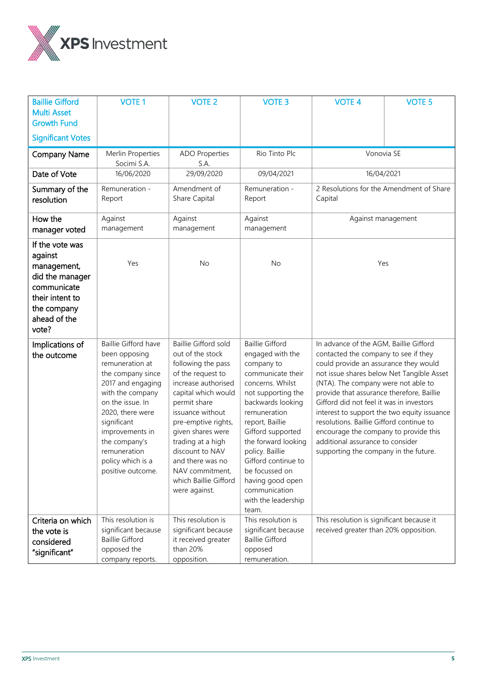

| <b>Baillie Gifford</b><br><b>Multi Asset</b><br><b>Growth Fund</b>                                                                     | <b>VOTE 1</b>                                                                                                                                                                                                                                                               | <b>VOTE 2</b>                                                                                                                                                                                                                                                                                                                                     | <b>VOTE 3</b>                                                                                                                                                                                                                                                                                                                                                | <b>VOTE 4</b>                                                                                                                                                                                                                                                                                                                                                                                                                                                                                                         | <b>VOTE 5</b> |
|----------------------------------------------------------------------------------------------------------------------------------------|-----------------------------------------------------------------------------------------------------------------------------------------------------------------------------------------------------------------------------------------------------------------------------|---------------------------------------------------------------------------------------------------------------------------------------------------------------------------------------------------------------------------------------------------------------------------------------------------------------------------------------------------|--------------------------------------------------------------------------------------------------------------------------------------------------------------------------------------------------------------------------------------------------------------------------------------------------------------------------------------------------------------|-----------------------------------------------------------------------------------------------------------------------------------------------------------------------------------------------------------------------------------------------------------------------------------------------------------------------------------------------------------------------------------------------------------------------------------------------------------------------------------------------------------------------|---------------|
| <b>Significant Votes</b>                                                                                                               |                                                                                                                                                                                                                                                                             |                                                                                                                                                                                                                                                                                                                                                   |                                                                                                                                                                                                                                                                                                                                                              |                                                                                                                                                                                                                                                                                                                                                                                                                                                                                                                       |               |
| <b>Company Name</b>                                                                                                                    | Merlin Properties<br>Socimi S.A.                                                                                                                                                                                                                                            | <b>ADO Properties</b><br>S.A.                                                                                                                                                                                                                                                                                                                     | Rio Tinto Plc                                                                                                                                                                                                                                                                                                                                                | Vonovia SE                                                                                                                                                                                                                                                                                                                                                                                                                                                                                                            |               |
| Date of Vote                                                                                                                           | 16/06/2020                                                                                                                                                                                                                                                                  | 29/09/2020                                                                                                                                                                                                                                                                                                                                        | 09/04/2021                                                                                                                                                                                                                                                                                                                                                   | 16/04/2021                                                                                                                                                                                                                                                                                                                                                                                                                                                                                                            |               |
| Summary of the<br>resolution                                                                                                           | Remuneration -<br>Report                                                                                                                                                                                                                                                    | Amendment of<br>Share Capital                                                                                                                                                                                                                                                                                                                     | Remuneration -<br>Report                                                                                                                                                                                                                                                                                                                                     | 2 Resolutions for the Amendment of Share<br>Capital                                                                                                                                                                                                                                                                                                                                                                                                                                                                   |               |
| How the<br>manager voted                                                                                                               | Against<br>management                                                                                                                                                                                                                                                       | Against<br>management                                                                                                                                                                                                                                                                                                                             | Against<br>management                                                                                                                                                                                                                                                                                                                                        | Against management                                                                                                                                                                                                                                                                                                                                                                                                                                                                                                    |               |
| If the vote was<br>against<br>management,<br>did the manager<br>communicate<br>their intent to<br>the company<br>ahead of the<br>vote? | Yes                                                                                                                                                                                                                                                                         | No                                                                                                                                                                                                                                                                                                                                                | No                                                                                                                                                                                                                                                                                                                                                           | Yes                                                                                                                                                                                                                                                                                                                                                                                                                                                                                                                   |               |
| Implications of<br>the outcome                                                                                                         | Baillie Gifford have<br>been opposing<br>remuneration at<br>the company since<br>2017 and engaging<br>with the company<br>on the issue. In<br>2020, there were<br>significant<br>improvements in<br>the company's<br>remuneration<br>policy which is a<br>positive outcome. | <b>Baillie Gifford sold</b><br>out of the stock<br>following the pass<br>of the request to<br>increase authorised<br>capital which would<br>permit share<br>issuance without<br>pre-emptive rights,<br>given shares were<br>trading at a high<br>discount to NAV<br>and there was no<br>NAV commitment,<br>which Baillie Gifford<br>were against. | <b>Baillie Gifford</b><br>engaged with the<br>company to<br>communicate their<br>concerns. Whilst<br>not supporting the<br>backwards looking<br>remuneration<br>report, Baillie<br>Gifford supported<br>the forward looking<br>policy. Baillie<br>Gifford continue to<br>be focussed on<br>having good open<br>communication<br>with the leadership<br>team. | In advance of the AGM, Baillie Gifford<br>contacted the company to see if they<br>could provide an assurance they would<br>not issue shares below Net Tangible Asset<br>(NTA). The company were not able to<br>provide that assurance therefore, Baillie<br>Gifford did not feel it was in investors<br>interest to support the two equity issuance<br>resolutions. Baillie Gifford continue to<br>encourage the company to provide this<br>additional assurance to consider<br>supporting the company in the future. |               |
| Criteria on which<br>the vote is<br>considered<br>"significant"                                                                        | This resolution is<br>significant because<br><b>Baillie Gifford</b><br>opposed the<br>company reports.                                                                                                                                                                      | This resolution is<br>significant because<br>it received greater<br>than 20%<br>opposition.                                                                                                                                                                                                                                                       | This resolution is<br>significant because<br><b>Baillie Gifford</b><br>opposed<br>remuneration.                                                                                                                                                                                                                                                              | This resolution is significant because it<br>received greater than 20% opposition.                                                                                                                                                                                                                                                                                                                                                                                                                                    |               |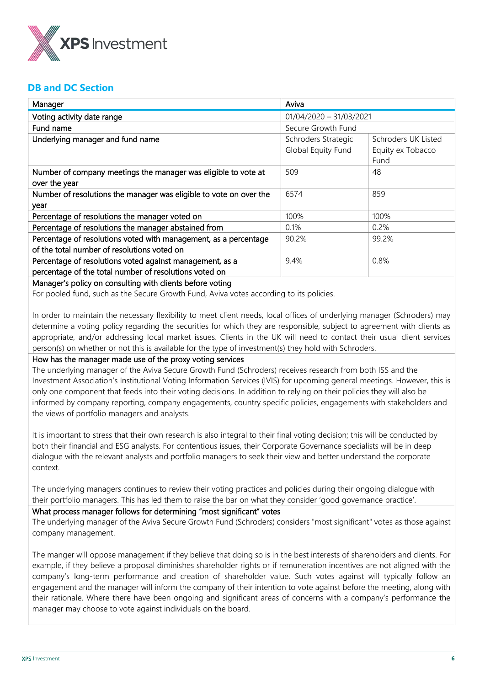

# **DB and DC Section**

| Manager                                                            | Aviva                                      |                   |  |
|--------------------------------------------------------------------|--------------------------------------------|-------------------|--|
| Voting activity date range                                         | $01/04/2020 - 31/03/2021$                  |                   |  |
| Fund name                                                          | Secure Growth Fund                         |                   |  |
| Underlying manager and fund name                                   | Schroders Strategic<br>Schroders UK Listed |                   |  |
|                                                                    | Global Equity Fund                         | Equity ex Tobacco |  |
|                                                                    |                                            | Fund              |  |
| Number of company meetings the manager was eligible to vote at     | 509                                        | 48                |  |
| over the year                                                      |                                            |                   |  |
| Number of resolutions the manager was eligible to vote on over the | 6574                                       | 859               |  |
| year                                                               |                                            |                   |  |
| Percentage of resolutions the manager voted on                     | 100%                                       | 100%              |  |
| Percentage of resolutions the manager abstained from               | 0.1%                                       | 0.2%              |  |
| Percentage of resolutions voted with management, as a percentage   | 90.2%                                      | 99.2%             |  |
| of the total number of resolutions voted on                        |                                            |                   |  |
| Percentage of resolutions voted against management, as a           | 9.4%                                       | 0.8%              |  |
| percentage of the total number of resolutions voted on             |                                            |                   |  |
| Manager's policy on consulting with clients before voting          |                                            |                   |  |

## Manager's policy on consulting with clients before voting

For pooled fund, such as the Secure Growth Fund, Aviva votes according to its policies.

In order to maintain the necessary flexibility to meet client needs, local offices of underlying manager (Schroders) may determine a voting policy regarding the securities for which they are responsible, subject to agreement with clients as appropriate, and/or addressing local market issues. Clients in the UK will need to contact their usual client services person(s) on whether or not this is available for the type of investment(s) they hold with Schroders.

#### How has the manager made use of the proxy voting services

The underlying manager of the Aviva Secure Growth Fund (Schroders) receives research from both ISS and the Investment Association's Institutional Voting Information Services (IVIS) for upcoming general meetings. However, this is only one component that feeds into their voting decisions. In addition to relying on their policies they will also be informed by company reporting, company engagements, country specific policies, engagements with stakeholders and the views of portfolio managers and analysts.

It is important to stress that their own research is also integral to their final voting decision; this will be conducted by both their financial and ESG analysts. For contentious issues, their Corporate Governance specialists will be in deep dialogue with the relevant analysts and portfolio managers to seek their view and better understand the corporate context.

The underlying managers continues to review their voting practices and policies during their ongoing dialogue with their portfolio managers. This has led them to raise the bar on what they consider 'good governance practice'.

#### What process manager follows for determining "most significant" votes

The underlying manager of the Aviva Secure Growth Fund (Schroders) considers "most significant" votes as those against company management.

The manger will oppose management if they believe that doing so is in the best interests of shareholders and clients. For example, if they believe a proposal diminishes shareholder rights or if remuneration incentives are not aligned with the company's long-term performance and creation of shareholder value. Such votes against will typically follow an engagement and the manager will inform the company of their intention to vote against before the meeting, along with their rationale. Where there have been ongoing and significant areas of concerns with a company's performance the manager may choose to vote against individuals on the board.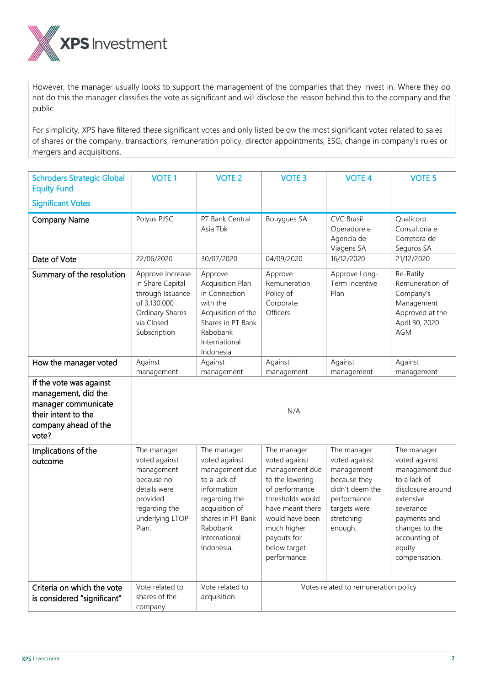

However, the manager usually looks to support the management of the companies that they invest in. Where they do not do this the manager classifies the vote as significant and will disclose the reason behind this to the company and the public

For simplicity, XPS have filtered these significant votes and only listed below the most significant votes related to sales of shares or the company, transactions, remuneration policy, director appointments, ESG, change in company's rules or mergers and acquisitions.

| <b>Schroders Strategic Global</b><br><b>Equity Fund</b><br><b>Significant Votes</b>                                           | <b>VOTE 1</b>                                                                                                                     | <b>VOTE 2</b>                                                                                                                                                                    | <b>VOTE 3</b>                                                                                                                                                                                                | <b>VOTE 4</b>                                                                                                                         | <b>VOTE 5</b>                                                                                                                                                                               |
|-------------------------------------------------------------------------------------------------------------------------------|-----------------------------------------------------------------------------------------------------------------------------------|----------------------------------------------------------------------------------------------------------------------------------------------------------------------------------|--------------------------------------------------------------------------------------------------------------------------------------------------------------------------------------------------------------|---------------------------------------------------------------------------------------------------------------------------------------|---------------------------------------------------------------------------------------------------------------------------------------------------------------------------------------------|
| <b>Company Name</b>                                                                                                           | Polyus PJSC                                                                                                                       | PT Bank Central<br>Asia Tbk                                                                                                                                                      | <b>Bouygues SA</b>                                                                                                                                                                                           | <b>CVC Brasil</b><br>Operadore e<br>Agencia de<br>Viagens SA                                                                          | Qualicorp<br>Consultoria e<br>Corretora de<br>Seguros SA                                                                                                                                    |
| Date of Vote                                                                                                                  | 22/06/2020                                                                                                                        | 30/07/2020                                                                                                                                                                       | 04/09/2020                                                                                                                                                                                                   | 16/12/2020                                                                                                                            | 21/12/2020                                                                                                                                                                                  |
| Summary of the resolution                                                                                                     | Approve Increase<br>in Share Capital<br>through Issuance<br>of 3,130,000<br>Ordinary Shares<br>via Closed<br>Subscription         | Approve<br>Acquisition Plan<br>in Connection<br>with the<br>Acquisition of the<br>Shares in PT Bank<br>Rabobank<br>International<br>Indonesia                                    | Approve<br>Remuneration<br>Policy of<br>Corporate<br>Officers                                                                                                                                                | Approve Long-<br>Term Incentive<br>Plan                                                                                               | Re-Ratify<br>Remuneration of<br>Company's<br>Management<br>Approved at the<br>April 30, 2020<br><b>AGM</b>                                                                                  |
| How the manager voted                                                                                                         | Against<br>management                                                                                                             | Against<br>management                                                                                                                                                            | Against                                                                                                                                                                                                      | Against                                                                                                                               | Against                                                                                                                                                                                     |
| If the vote was against<br>management, did the<br>manager communicate<br>their intent to the<br>company ahead of the<br>vote? | management<br>management<br>management<br>N/A                                                                                     |                                                                                                                                                                                  |                                                                                                                                                                                                              |                                                                                                                                       |                                                                                                                                                                                             |
| Implications of the<br>outcome                                                                                                | The manager<br>voted against<br>management<br>because no<br>details were<br>provided<br>regarding the<br>underlying LTOP<br>Plan. | The manager<br>voted against<br>management due<br>to a lack of<br>information<br>regarding the<br>acquisition of<br>shares in PT Bank<br>Rabobank<br>International<br>Indonesia. | The manager<br>voted against<br>management due<br>to the lowering<br>of performance<br>thresholds would<br>have meant there<br>would have been<br>much higher<br>payouts for<br>below target<br>performance. | The manager<br>voted against<br>management<br>because they<br>didn't deem the<br>performance<br>targets were<br>stretching<br>enough. | The manager<br>voted against<br>management due<br>to a lack of<br>disclosure around<br>extensive<br>severance<br>payments and<br>changes to the<br>accounting of<br>equity<br>compensation. |
| Criteria on which the vote<br>is considered "significant"                                                                     | Vote related to<br>shares of the<br>company                                                                                       | Vote related to<br>acquisition                                                                                                                                                   | Votes related to remuneration policy                                                                                                                                                                         |                                                                                                                                       |                                                                                                                                                                                             |